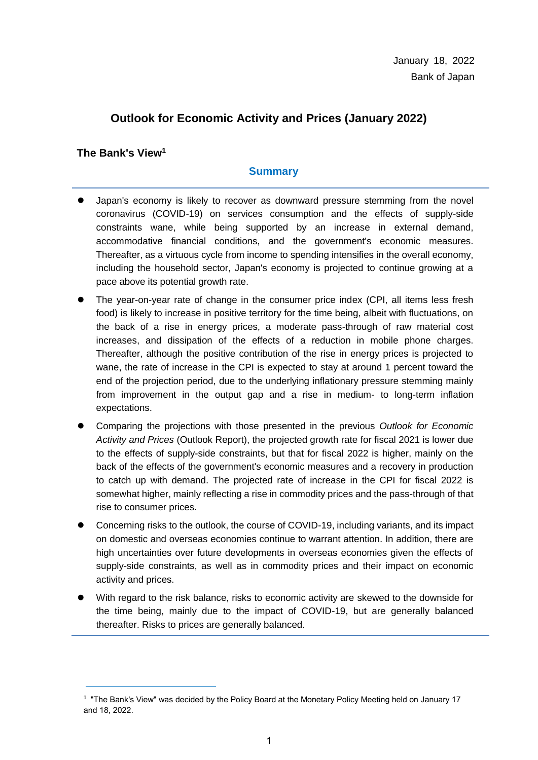# **Outlook for Economic Activity and Prices (January 2022)**

**The Bank's View<sup>1</sup>**

1

# **Summary**

- Japan's economy is likely to recover as downward pressure stemming from the novel coronavirus (COVID-19) on services consumption and the effects of supply-side constraints wane, while being supported by an increase in external demand, accommodative financial conditions, and the government's economic measures. Thereafter, as a virtuous cycle from income to spending intensifies in the overall economy, including the household sector, Japan's economy is projected to continue growing at a pace above its potential growth rate.
- The year-on-year rate of change in the consumer price index (CPI, all items less fresh food) is likely to increase in positive territory for the time being, albeit with fluctuations, on the back of a rise in energy prices, a moderate pass-through of raw material cost increases, and dissipation of the effects of a reduction in mobile phone charges. Thereafter, although the positive contribution of the rise in energy prices is projected to wane, the rate of increase in the CPI is expected to stay at around 1 percent toward the end of the projection period, due to the underlying inflationary pressure stemming mainly from improvement in the output gap and a rise in medium- to long-term inflation expectations.
- Comparing the projections with those presented in the previous *Outlook for Economic Activity and Prices* (Outlook Report), the projected growth rate for fiscal 2021 is lower due to the effects of supply-side constraints, but that for fiscal 2022 is higher, mainly on the back of the effects of the government's economic measures and a recovery in production to catch up with demand. The projected rate of increase in the CPI for fiscal 2022 is somewhat higher, mainly reflecting a rise in commodity prices and the pass-through of that rise to consumer prices.
- Concerning risks to the outlook, the course of COVID-19, including variants, and its impact on domestic and overseas economies continue to warrant attention. In addition, there are high uncertainties over future developments in overseas economies given the effects of supply-side constraints, as well as in commodity prices and their impact on economic activity and prices.
- With regard to the risk balance, risks to economic activity are skewed to the downside for the time being, mainly due to the impact of COVID-19, but are generally balanced thereafter. Risks to prices are generally balanced.

<sup>1</sup> "The Bank's View" was decided by the Policy Board at the Monetary Policy Meeting held on January 17 and 18, 2022.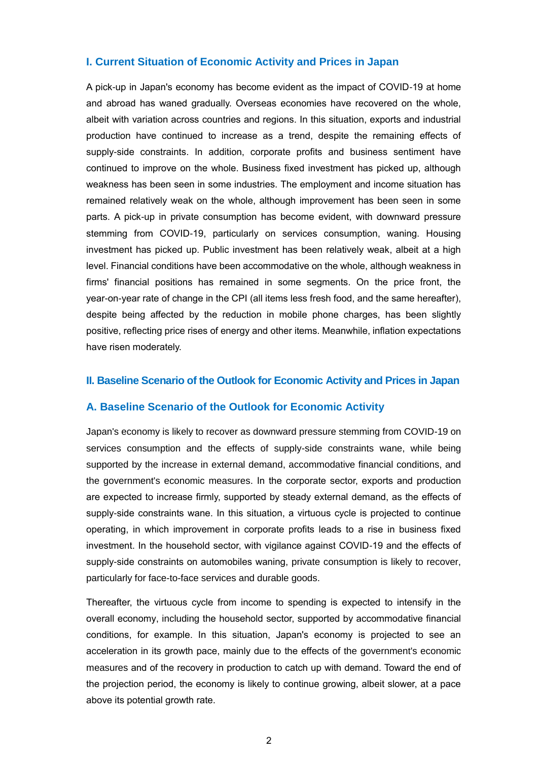#### **I. Current Situation of Economic Activity and Prices in Japan**

A pick-up in Japan's economy has become evident as the impact of COVID-19 at home and abroad has waned gradually. Overseas economies have recovered on the whole, albeit with variation across countries and regions. In this situation, exports and industrial production have continued to increase as a trend, despite the remaining effects of supply-side constraints. In addition, corporate profits and business sentiment have continued to improve on the whole. Business fixed investment has picked up, although weakness has been seen in some industries. The employment and income situation has remained relatively weak on the whole, although improvement has been seen in some parts. A pick-up in private consumption has become evident, with downward pressure stemming from COVID-19, particularly on services consumption, waning. Housing investment has picked up. Public investment has been relatively weak, albeit at a high level. Financial conditions have been accommodative on the whole, although weakness in firms' financial positions has remained in some segments. On the price front, the year-on-year rate of change in the CPI (all items less fresh food, and the same hereafter), despite being affected by the reduction in mobile phone charges, has been slightly positive, reflecting price rises of energy and other items. Meanwhile, inflation expectations have risen moderately.

#### **II. Baseline Scenario of the Outlook for Economic Activity and Prices in Japan**

#### **A. Baseline Scenario of the Outlook for Economic Activity**

Japan's economy is likely to recover as downward pressure stemming from COVID-19 on services consumption and the effects of supply-side constraints wane, while being supported by the increase in external demand, accommodative financial conditions, and the government's economic measures. In the corporate sector, exports and production are expected to increase firmly, supported by steady external demand, as the effects of supply-side constraints wane. In this situation, a virtuous cycle is projected to continue operating, in which improvement in corporate profits leads to a rise in business fixed investment. In the household sector, with vigilance against COVID-19 and the effects of supply-side constraints on automobiles waning, private consumption is likely to recover, particularly for face-to-face services and durable goods.

Thereafter, the virtuous cycle from income to spending is expected to intensify in the overall economy, including the household sector, supported by accommodative financial conditions, for example. In this situation, Japan's economy is projected to see an acceleration in its growth pace, mainly due to the effects of the government's economic measures and of the recovery in production to catch up with demand. Toward the end of the projection period, the economy is likely to continue growing, albeit slower, at a pace above its potential growth rate.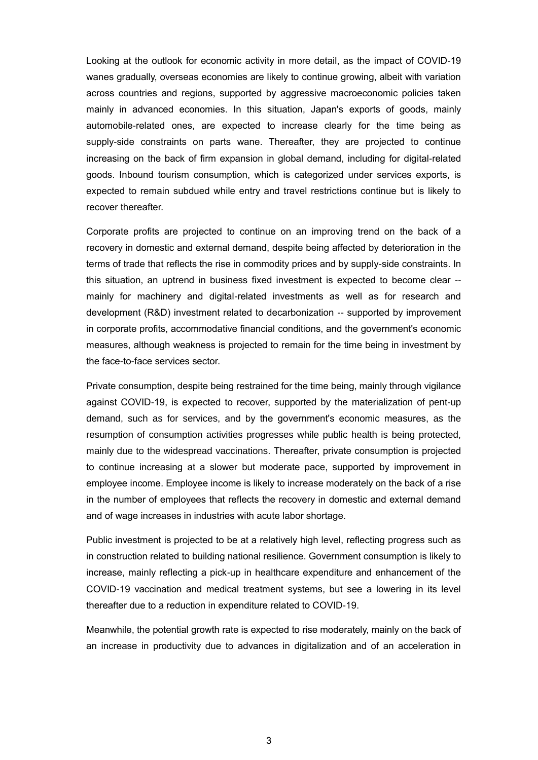Looking at the outlook for economic activity in more detail, as the impact of COVID-19 wanes gradually, overseas economies are likely to continue growing, albeit with variation across countries and regions, supported by aggressive macroeconomic policies taken mainly in advanced economies. In this situation, Japan's exports of goods, mainly automobile-related ones, are expected to increase clearly for the time being as supply-side constraints on parts wane. Thereafter, they are projected to continue increasing on the back of firm expansion in global demand, including for digital-related goods. Inbound tourism consumption, which is categorized under services exports, is expected to remain subdued while entry and travel restrictions continue but is likely to recover thereafter.

Corporate profits are projected to continue on an improving trend on the back of a recovery in domestic and external demand, despite being affected by deterioration in the terms of trade that reflects the rise in commodity prices and by supply-side constraints. In this situation, an uptrend in business fixed investment is expected to become clear - mainly for machinery and digital-related investments as well as for research and development (R&D) investment related to decarbonization -- supported by improvement in corporate profits, accommodative financial conditions, and the government's economic measures, although weakness is projected to remain for the time being in investment by the face-to-face services sector.

Private consumption, despite being restrained for the time being, mainly through vigilance against COVID-19, is expected to recover, supported by the materialization of pent-up demand, such as for services, and by the government's economic measures, as the resumption of consumption activities progresses while public health is being protected, mainly due to the widespread vaccinations. Thereafter, private consumption is projected to continue increasing at a slower but moderate pace, supported by improvement in employee income. Employee income is likely to increase moderately on the back of a rise in the number of employees that reflects the recovery in domestic and external demand and of wage increases in industries with acute labor shortage.

Public investment is projected to be at a relatively high level, reflecting progress such as in construction related to building national resilience. Government consumption is likely to increase, mainly reflecting a pick-up in healthcare expenditure and enhancement of the COVID-19 vaccination and medical treatment systems, but see a lowering in its level thereafter due to a reduction in expenditure related to COVID-19.

Meanwhile, the potential growth rate is expected to rise moderately, mainly on the back of an increase in productivity due to advances in digitalization and of an acceleration in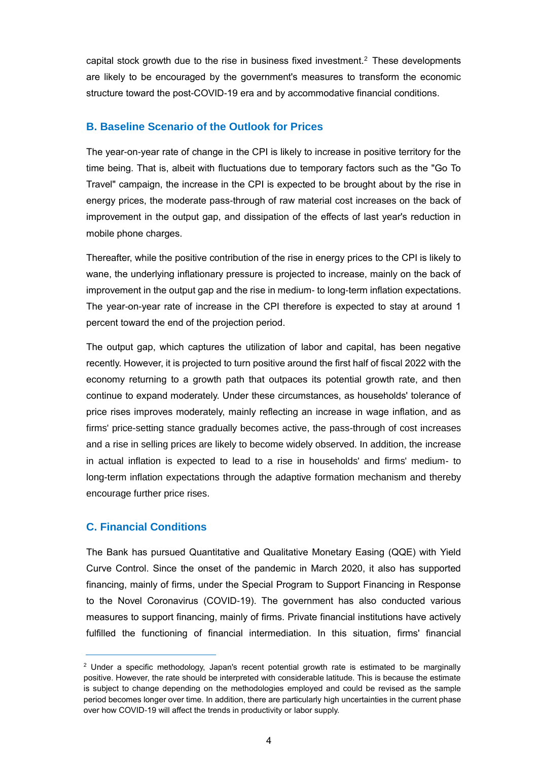capital stock growth due to the rise in business fixed investment.<sup>2</sup> These developments are likely to be encouraged by the government's measures to transform the economic structure toward the post-COVID-19 era and by accommodative financial conditions.

### **B. Baseline Scenario of the Outlook for Prices**

The year-on-year rate of change in the CPI is likely to increase in positive territory for the time being. That is, albeit with fluctuations due to temporary factors such as the "Go To Travel" campaign, the increase in the CPI is expected to be brought about by the rise in energy prices, the moderate pass-through of raw material cost increases on the back of improvement in the output gap, and dissipation of the effects of last year's reduction in mobile phone charges.

Thereafter, while the positive contribution of the rise in energy prices to the CPI is likely to wane, the underlying inflationary pressure is projected to increase, mainly on the back of improvement in the output gap and the rise in medium- to long-term inflation expectations. The year-on-year rate of increase in the CPI therefore is expected to stay at around 1 percent toward the end of the projection period.

The output gap, which captures the utilization of labor and capital, has been negative recently. However, it is projected to turn positive around the first half of fiscal 2022 with the economy returning to a growth path that outpaces its potential growth rate, and then continue to expand moderately. Under these circumstances, as households' tolerance of price rises improves moderately, mainly reflecting an increase in wage inflation, and as firms' price-setting stance gradually becomes active, the pass-through of cost increases and a rise in selling prices are likely to become widely observed. In addition, the increase in actual inflation is expected to lead to a rise in households' and firms' medium- to long-term inflation expectations through the adaptive formation mechanism and thereby encourage further price rises.

# **C. Financial Conditions**

1

The Bank has pursued Quantitative and Qualitative Monetary Easing (QQE) with Yield Curve Control. Since the onset of the pandemic in March 2020, it also has supported financing, mainly of firms, under the Special Program to Support Financing in Response to the Novel Coronavirus (COVID-19). The government has also conducted various measures to support financing, mainly of firms. Private financial institutions have actively fulfilled the functioning of financial intermediation. In this situation, firms' financial

 $2$  Under a specific methodology, Japan's recent potential growth rate is estimated to be marginally positive. However, the rate should be interpreted with considerable latitude. This is because the estimate is subject to change depending on the methodologies employed and could be revised as the sample period becomes longer over time. In addition, there are particularly high uncertainties in the current phase over how COVID-19 will affect the trends in productivity or labor supply.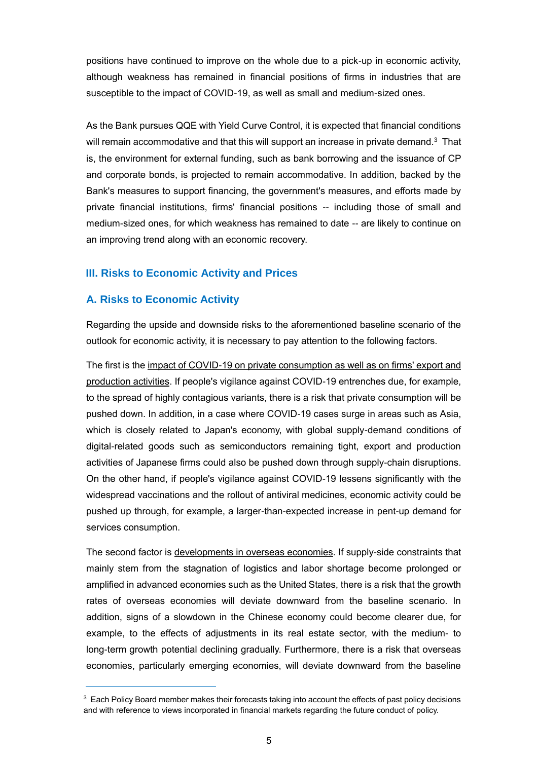positions have continued to improve on the whole due to a pick-up in economic activity, although weakness has remained in financial positions of firms in industries that are susceptible to the impact of COVID-19, as well as small and medium-sized ones.

As the Bank pursues QQE with Yield Curve Control, it is expected that financial conditions will remain accommodative and that this will support an increase in private demand. $3$  That is, the environment for external funding, such as bank borrowing and the issuance of CP and corporate bonds, is projected to remain accommodative. In addition, backed by the Bank's measures to support financing, the government's measures, and efforts made by private financial institutions, firms' financial positions -- including those of small and medium-sized ones, for which weakness has remained to date -- are likely to continue on an improving trend along with an economic recovery.

# **III. Risks to Economic Activity and Prices**

# **A. Risks to Economic Activity**

1

Regarding the upside and downside risks to the aforementioned baseline scenario of the outlook for economic activity, it is necessary to pay attention to the following factors.

The first is the impact of COVID-19 on private consumption as well as on firms' export and production activities. If people's vigilance against COVID-19 entrenches due, for example, to the spread of highly contagious variants, there is a risk that private consumption will be pushed down. In addition, in a case where COVID-19 cases surge in areas such as Asia, which is closely related to Japan's economy, with global supply-demand conditions of digital-related goods such as semiconductors remaining tight, export and production activities of Japanese firms could also be pushed down through supply-chain disruptions. On the other hand, if people's vigilance against COVID-19 lessens significantly with the widespread vaccinations and the rollout of antiviral medicines, economic activity could be pushed up through, for example, a larger-than-expected increase in pent-up demand for services consumption.

The second factor is developments in overseas economies. If supply-side constraints that mainly stem from the stagnation of logistics and labor shortage become prolonged or amplified in advanced economies such as the United States, there is a risk that the growth rates of overseas economies will deviate downward from the baseline scenario. In addition, signs of a slowdown in the Chinese economy could become clearer due, for example, to the effects of adjustments in its real estate sector, with the medium- to long-term growth potential declining gradually. Furthermore, there is a risk that overseas economies, particularly emerging economies, will deviate downward from the baseline

<sup>&</sup>lt;sup>3</sup> Each Policy Board member makes their forecasts taking into account the effects of past policy decisions and with reference to views incorporated in financial markets regarding the future conduct of policy.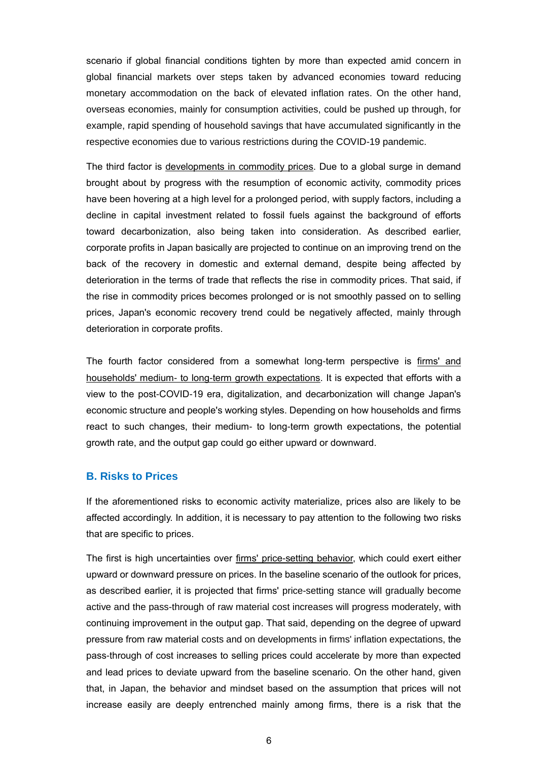scenario if global financial conditions tighten by more than expected amid concern in global financial markets over steps taken by advanced economies toward reducing monetary accommodation on the back of elevated inflation rates. On the other hand, overseas economies, mainly for consumption activities, could be pushed up through, for example, rapid spending of household savings that have accumulated significantly in the respective economies due to various restrictions during the COVID-19 pandemic.

The third factor is developments in commodity prices. Due to a global surge in demand brought about by progress with the resumption of economic activity, commodity prices have been hovering at a high level for a prolonged period, with supply factors, including a decline in capital investment related to fossil fuels against the background of efforts toward decarbonization, also being taken into consideration. As described earlier, corporate profits in Japan basically are projected to continue on an improving trend on the back of the recovery in domestic and external demand, despite being affected by deterioration in the terms of trade that reflects the rise in commodity prices. That said, if the rise in commodity prices becomes prolonged or is not smoothly passed on to selling prices, Japan's economic recovery trend could be negatively affected, mainly through deterioration in corporate profits.

The fourth factor considered from a somewhat long-term perspective is firms' and households' medium- to long-term growth expectations. It is expected that efforts with a view to the post-COVID-19 era, digitalization, and decarbonization will change Japan's economic structure and people's working styles. Depending on how households and firms react to such changes, their medium- to long-term growth expectations, the potential growth rate, and the output gap could go either upward or downward.

#### **B. Risks to Prices**

If the aforementioned risks to economic activity materialize, prices also are likely to be affected accordingly. In addition, it is necessary to pay attention to the following two risks that are specific to prices.

The first is high uncertainties over firms' price-setting behavior, which could exert either upward or downward pressure on prices. In the baseline scenario of the outlook for prices, as described earlier, it is projected that firms' price-setting stance will gradually become active and the pass-through of raw material cost increases will progress moderately, with continuing improvement in the output gap. That said, depending on the degree of upward pressure from raw material costs and on developments in firms' inflation expectations, the pass-through of cost increases to selling prices could accelerate by more than expected and lead prices to deviate upward from the baseline scenario. On the other hand, given that, in Japan, the behavior and mindset based on the assumption that prices will not increase easily are deeply entrenched mainly among firms, there is a risk that the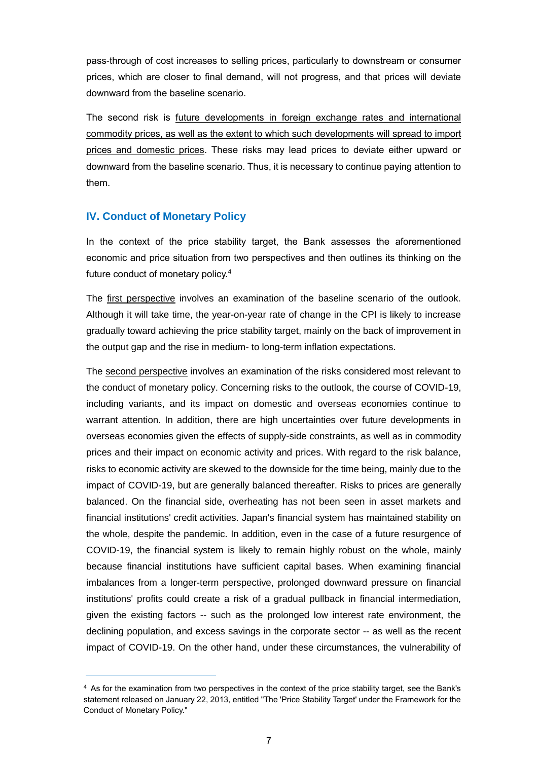pass-through of cost increases to selling prices, particularly to downstream or consumer prices, which are closer to final demand, will not progress, and that prices will deviate downward from the baseline scenario.

The second risk is future developments in foreign exchange rates and international commodity prices, as well as the extent to which such developments will spread to import prices and domestic prices. These risks may lead prices to deviate either upward or downward from the baseline scenario. Thus, it is necessary to continue paying attention to them.

### **IV. Conduct of Monetary Policy**

1

In the context of the price stability target, the Bank assesses the aforementioned economic and price situation from two perspectives and then outlines its thinking on the future conduct of monetary policy.<sup>4</sup>

The first perspective involves an examination of the baseline scenario of the outlook. Although it will take time, the year-on-year rate of change in the CPI is likely to increase gradually toward achieving the price stability target, mainly on the back of improvement in the output gap and the rise in medium- to long-term inflation expectations.

The second perspective involves an examination of the risks considered most relevant to the conduct of monetary policy. Concerning risks to the outlook, the course of COVID-19, including variants, and its impact on domestic and overseas economies continue to warrant attention. In addition, there are high uncertainties over future developments in overseas economies given the effects of supply-side constraints, as well as in commodity prices and their impact on economic activity and prices. With regard to the risk balance, risks to economic activity are skewed to the downside for the time being, mainly due to the impact of COVID-19, but are generally balanced thereafter. Risks to prices are generally balanced. On the financial side, overheating has not been seen in asset markets and financial institutions' credit activities. Japan's financial system has maintained stability on the whole, despite the pandemic. In addition, even in the case of a future resurgence of COVID-19, the financial system is likely to remain highly robust on the whole, mainly because financial institutions have sufficient capital bases. When examining financial imbalances from a longer-term perspective, prolonged downward pressure on financial institutions' profits could create a risk of a gradual pullback in financial intermediation, given the existing factors -- such as the prolonged low interest rate environment, the declining population, and excess savings in the corporate sector -- as well as the recent impact of COVID-19. On the other hand, under these circumstances, the vulnerability of

<sup>4</sup> As for the examination from two perspectives in the context of the price stability target, see the Bank's statement released on January 22, 2013, entitled "The 'Price Stability Target' under the Framework for the Conduct of Monetary Policy."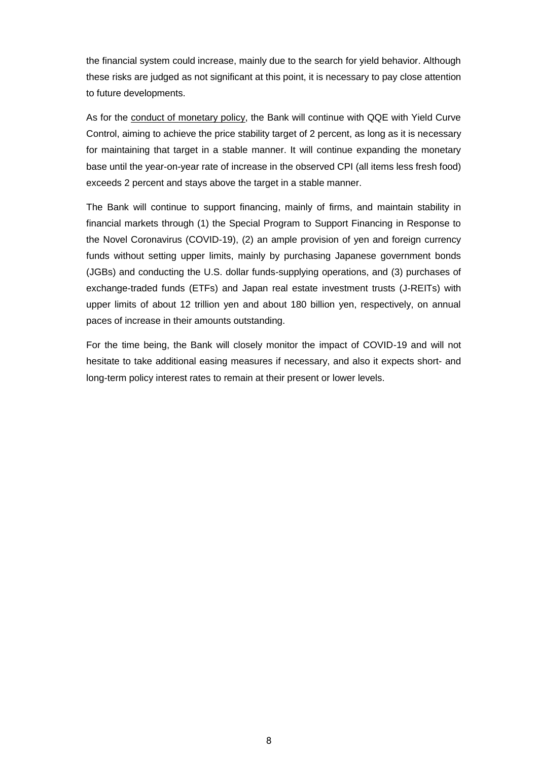the financial system could increase, mainly due to the search for yield behavior. Although these risks are judged as not significant at this point, it is necessary to pay close attention to future developments.

As for the conduct of monetary policy, the Bank will continue with QQE with Yield Curve Control, aiming to achieve the price stability target of 2 percent, as long as it is necessary for maintaining that target in a stable manner. It will continue expanding the monetary base until the year-on-year rate of increase in the observed CPI (all items less fresh food) exceeds 2 percent and stays above the target in a stable manner.

The Bank will continue to support financing, mainly of firms, and maintain stability in financial markets through (1) the Special Program to Support Financing in Response to the Novel Coronavirus (COVID-19), (2) an ample provision of yen and foreign currency funds without setting upper limits, mainly by purchasing Japanese government bonds (JGBs) and conducting the U.S. dollar funds-supplying operations, and (3) purchases of exchange-traded funds (ETFs) and Japan real estate investment trusts (J-REITs) with upper limits of about 12 trillion yen and about 180 billion yen, respectively, on annual paces of increase in their amounts outstanding.

For the time being, the Bank will closely monitor the impact of COVID-19 and will not hesitate to take additional easing measures if necessary, and also it expects short- and long-term policy interest rates to remain at their present or lower levels.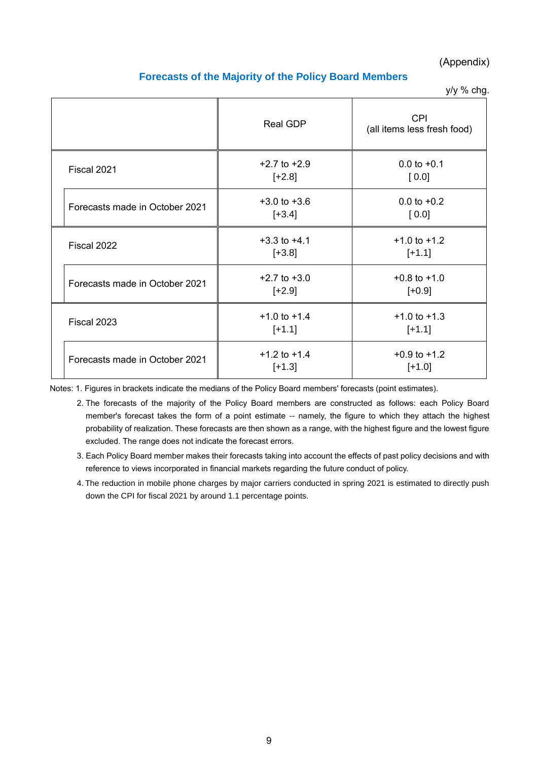### (Appendix)

### **Forecasts of the Majority of the Policy Board Members**

y/y % chg.

|                                | <b>Real GDP</b>              | <b>CPI</b><br>(all items less fresh food) |
|--------------------------------|------------------------------|-------------------------------------------|
| Fiscal 2021                    | $+2.7$ to $+2.9$<br>$[-2.8]$ | $0.0$ to $+0.1$<br>[0.0]                  |
| Forecasts made in October 2021 | $+3.0$ to $+3.6$<br>$[-3.4]$ | $0.0$ to $+0.2$<br>[0.0]                  |
| Fiscal 2022                    | $+3.3$ to $+4.1$<br>$[-3.8]$ | $+1.0$ to $+1.2$<br>$[+1.1]$              |
| Forecasts made in October 2021 | $+2.7$ to $+3.0$<br>$[-2.9]$ | $+0.8$ to $+1.0$<br>$[-0.9]$              |
| Fiscal 2023                    | $+1.0$ to $+1.4$<br>$[+1.1]$ | $+1.0$ to $+1.3$<br>$[+1.1]$              |
| Forecasts made in October 2021 | $+1.2$ to $+1.4$<br>$[+1.3]$ | $+0.9$ to $+1.2$<br>$[+1.0]$              |

Notes: 1. Figures in brackets indicate the medians of the Policy Board members' forecasts (point estimates).

- 2. The forecasts of the majority of the Policy Board members are constructed as follows: each Policy Board member's forecast takes the form of a point estimate -- namely, the figure to which they attach the highest probability of realization. These forecasts are then shown as a range, with the highest figure and the lowest figure excluded. The range does not indicate the forecast errors.
- 3. Each Policy Board member makes their forecasts taking into account the effects of past policy decisions and with reference to views incorporated in financial markets regarding the future conduct of policy.
- 4. The reduction in mobile phone charges by major carriers conducted in spring 2021 is estimated to directly push down the CPI for fiscal 2021 by around 1.1 percentage points.